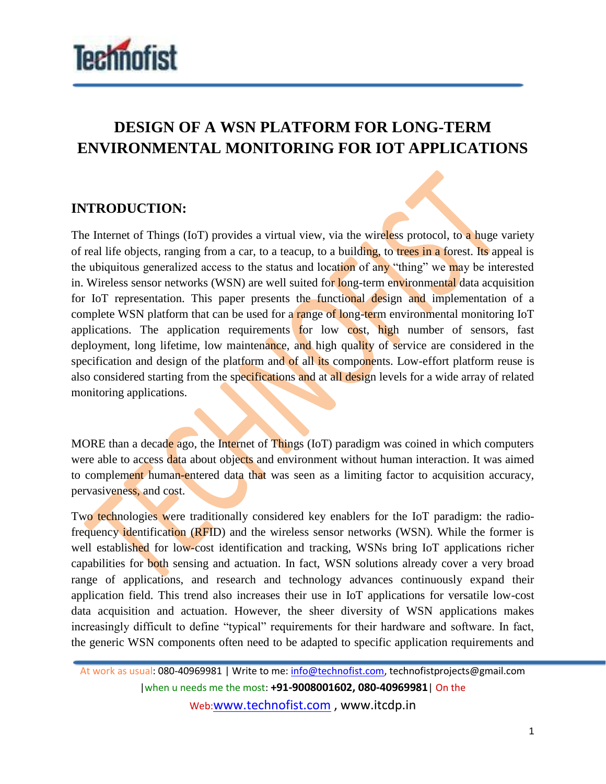

## **DESIGN OF A WSN PLATFORM FOR LONG-TERM ENVIRONMENTAL MONITORING FOR IOT APPLICATIONS**

## **INTRODUCTION:**

The Internet of Things (IoT) provides a virtual view, via the wireless protocol, to a huge variety of real life objects, ranging from a car, to a teacup, to a building, to trees in a forest. Its appeal is the ubiquitous generalized access to the status and location of any "thing" we may be interested in. Wireless sensor networks (WSN) are well suited for long-term environmental data acquisition for IoT representation. This paper presents the functional design and implementation of a complete WSN platform that can be used for a range of long-term environmental monitoring IoT applications. The application requirements for low cost, high number of sensors, fast deployment, long lifetime, low maintenance, and high quality of service are considered in the specification and design of the platform and of all its components. Low-effort platform reuse is also considered starting from the specifications and at all design levels for a wide array of related monitoring applications.

MORE than a decade ago, the Internet of Things (IoT) paradigm was coined in which computers were able to access data about objects and environment without human interaction. It was aimed to complement human-entered data that was seen as a limiting factor to acquisition accuracy, pervasiveness, and cost.

Two technologies were traditionally considered key enablers for the IoT paradigm: the radiofrequency identification (RFID) and the wireless sensor networks (WSN). While the former is well established for low-cost identification and tracking, WSNs bring IoT applications richer capabilities for both sensing and actuation. In fact, WSN solutions already cover a very broad range of applications, and research and technology advances continuously expand their application field. This trend also increases their use in IoT applications for versatile low-cost data acquisition and actuation. However, the sheer diversity of WSN applications makes increasingly difficult to define "typical" requirements for their hardware and software. In fact, the generic WSN components often need to be adapted to specific application requirements and

At work as usual: 080-40969981 | Write to me: info@technofist.com, technofistprojects@gmail.com |when u needs me the most: **+91-9008001602, 080-40969981**| On the

Web:www.technofist.com , www.itcdp.in